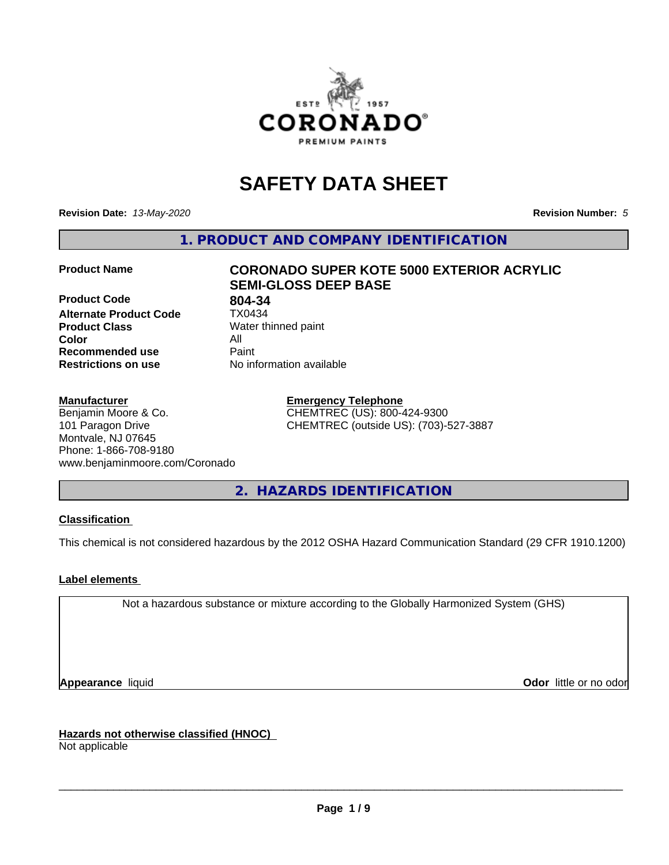

# **SAFETY DATA SHEET**

**Revision Date:** *13-May-2020* **Revision Number:** *5*

**1. PRODUCT AND COMPANY IDENTIFICATION**

**Product Code 804-34**<br>**Alternate Product Code 1X0434 Alternate Product Code Product Class** Water thinned paint<br> **Color** All **Color** All **Recommended use Caint Restrictions on use** No information available

# **Product Name CORONADO SUPER KOTE 5000 EXTERIOR ACRYLIC SEMI-GLOSS DEEP BASE**

#### **Manufacturer**

Benjamin Moore & Co. 101 Paragon Drive Montvale, NJ 07645 Phone: 1-866-708-9180 www.benjaminmoore.com/Coronado

#### **Emergency Telephone** CHEMTREC (US): 800-424-9300 CHEMTREC (outside US): (703)-527-3887

**2. HAZARDS IDENTIFICATION**

#### **Classification**

This chemical is not considered hazardous by the 2012 OSHA Hazard Communication Standard (29 CFR 1910.1200)

#### **Label elements**

Not a hazardous substance or mixture according to the Globally Harmonized System (GHS)

**Appearance** liquid **Contract Contract Contract Contract Contract Contract Contract Contract Contract Contract Contract Contract Contract Contract Contract Contract Contract Contract Contract Contract Contract Contract Con** 

**Hazards not otherwise classified (HNOC)**

Not applicable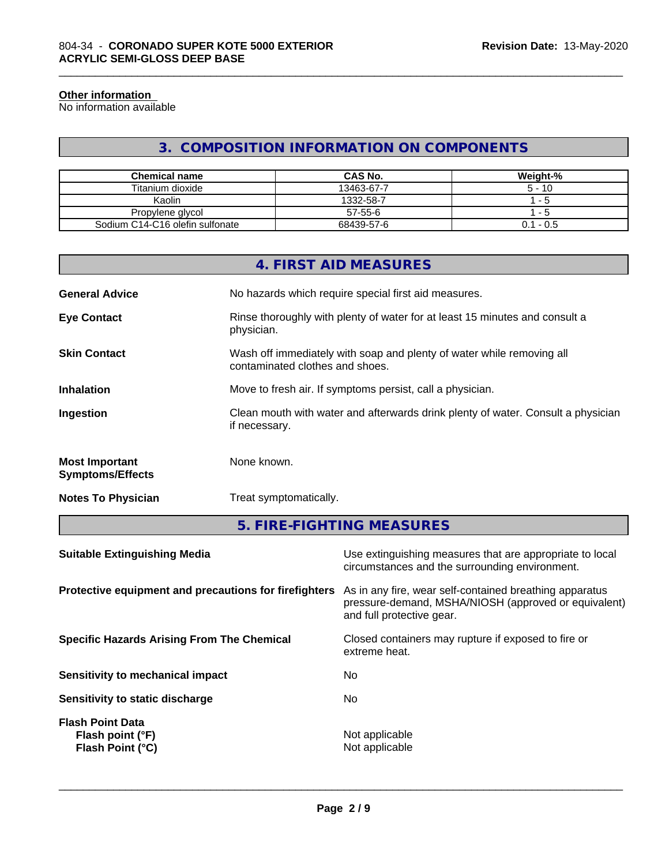#### **Other information**

No information available

#### **3. COMPOSITION INFORMATION ON COMPONENTS**

\_\_\_\_\_\_\_\_\_\_\_\_\_\_\_\_\_\_\_\_\_\_\_\_\_\_\_\_\_\_\_\_\_\_\_\_\_\_\_\_\_\_\_\_\_\_\_\_\_\_\_\_\_\_\_\_\_\_\_\_\_\_\_\_\_\_\_\_\_\_\_\_\_\_\_\_\_\_\_\_\_\_\_\_\_\_\_\_\_\_\_\_\_

| Chemical name                   | <b>CAS No.</b> | Weight-%    |
|---------------------------------|----------------|-------------|
| Titanium dioxide                | 13463-67-7     | $5 - 10$    |
| Kaolin                          | 1332-58-7      | - 5         |
| Propylene glycol                | 57-55-6        | - 5         |
| Sodium C14-C16 olefin sulfonate | 68439-57-6     | $0.1 - 0.5$ |

|                                                  | 4. FIRST AID MEASURES                                                                                    |
|--------------------------------------------------|----------------------------------------------------------------------------------------------------------|
| <b>General Advice</b>                            | No hazards which require special first aid measures.                                                     |
| <b>Eye Contact</b>                               | Rinse thoroughly with plenty of water for at least 15 minutes and consult a<br>physician.                |
| <b>Skin Contact</b>                              | Wash off immediately with soap and plenty of water while removing all<br>contaminated clothes and shoes. |
| <b>Inhalation</b>                                | Move to fresh air. If symptoms persist, call a physician.                                                |
| Ingestion                                        | Clean mouth with water and afterwards drink plenty of water. Consult a physician<br>if necessary.        |
| <b>Most Important</b><br><b>Symptoms/Effects</b> | None known.                                                                                              |
| <b>Notes To Physician</b>                        | Treat symptomatically.                                                                                   |

**5. FIRE-FIGHTING MEASURES**

| <b>Suitable Extinguishing Media</b>                             | Use extinguishing measures that are appropriate to local<br>circumstances and the surrounding environment.                                   |
|-----------------------------------------------------------------|----------------------------------------------------------------------------------------------------------------------------------------------|
| Protective equipment and precautions for firefighters           | As in any fire, wear self-contained breathing apparatus<br>pressure-demand, MSHA/NIOSH (approved or equivalent)<br>and full protective gear. |
| <b>Specific Hazards Arising From The Chemical</b>               | Closed containers may rupture if exposed to fire or<br>extreme heat.                                                                         |
| Sensitivity to mechanical impact                                | No.                                                                                                                                          |
| Sensitivity to static discharge                                 | No.                                                                                                                                          |
| <b>Flash Point Data</b><br>Flash point (°F)<br>Flash Point (°C) | Not applicable<br>Not applicable                                                                                                             |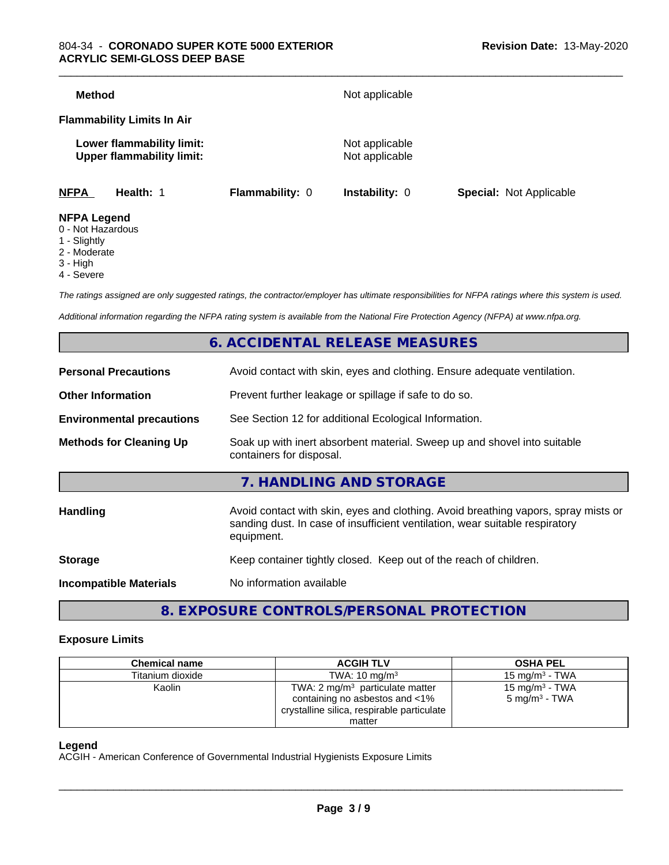| <b>NFPA</b>   | Health: 1                                                     | Flammability: 0 | Instability: 0                   | Special: Not Applicable |
|---------------|---------------------------------------------------------------|-----------------|----------------------------------|-------------------------|
|               | Lower flammability limit:<br><b>Upper flammability limit:</b> |                 | Not applicable<br>Not applicable |                         |
|               | <b>Flammability Limits In Air</b>                             |                 |                                  |                         |
| <b>Method</b> |                                                               |                 | Not applicable                   |                         |

- 0 Not Hazardous
- 1 Slightly
- 2 Moderate
- 3 High
- 4 Severe

*The ratings assigned are only suggested ratings, the contractor/employer has ultimate responsibilities for NFPA ratings where this system is used.*

*Additional information regarding the NFPA rating system is available from the National Fire Protection Agency (NFPA) at www.nfpa.org.*

#### **6. ACCIDENTAL RELEASE MEASURES**

| <b>Personal Precautions</b>      | Avoid contact with skin, eyes and clothing. Ensure adequate ventilation.                                                                                                         |
|----------------------------------|----------------------------------------------------------------------------------------------------------------------------------------------------------------------------------|
| <b>Other Information</b>         | Prevent further leakage or spillage if safe to do so.                                                                                                                            |
| <b>Environmental precautions</b> | See Section 12 for additional Ecological Information.                                                                                                                            |
| <b>Methods for Cleaning Up</b>   | Soak up with inert absorbent material. Sweep up and shovel into suitable<br>containers for disposal.                                                                             |
|                                  | 7. HANDLING AND STORAGE                                                                                                                                                          |
| Handling                         | Avoid contact with skin, eyes and clothing. Avoid breathing vapors, spray mists or<br>sanding dust. In case of insufficient ventilation, wear suitable respiratory<br>equipment. |
| <b>Storage</b>                   | Keep container tightly closed. Keep out of the reach of children.                                                                                                                |
| <b>Incompatible Materials</b>    | No information available                                                                                                                                                         |
|                                  |                                                                                                                                                                                  |

### **8. EXPOSURE CONTROLS/PERSONAL PROTECTION**

#### **Exposure Limits**

| <b>Chemical name</b> | <b>ACGIH TLV</b>                                                                                                           | <b>OSHA PEL</b>                               |
|----------------------|----------------------------------------------------------------------------------------------------------------------------|-----------------------------------------------|
| Titanium dioxide     | TWA: $10 \text{ mg/m}^3$                                                                                                   | 15 mg/m $3$ - TWA                             |
| Kaolin               | TWA: $2 \text{ mg/m}^3$ particulate matter<br>containing no asbestos and <1%<br>crystalline silica, respirable particulate | 15 mg/m $3$ - TWA<br>$5 \text{ mg/m}^3$ - TWA |
|                      | matter                                                                                                                     |                                               |

#### **Legend**

ACGIH - American Conference of Governmental Industrial Hygienists Exposure Limits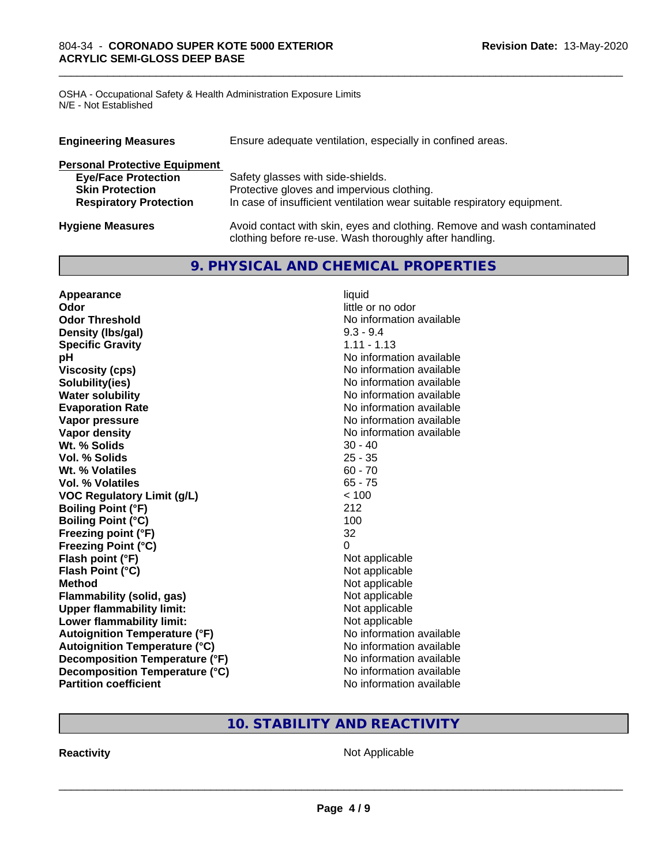OSHA - Occupational Safety & Health Administration Exposure Limits N/E - Not Established

| Ensure adequate ventilation, especially in confined areas.<br><b>Engineering Measures</b> |                                                                                                                                     |  |
|-------------------------------------------------------------------------------------------|-------------------------------------------------------------------------------------------------------------------------------------|--|
| <b>Personal Protective Equipment</b>                                                      |                                                                                                                                     |  |
| <b>Eye/Face Protection</b>                                                                | Safety glasses with side-shields.                                                                                                   |  |
| <b>Skin Protection</b>                                                                    | Protective gloves and impervious clothing.                                                                                          |  |
| <b>Respiratory Protection</b>                                                             | In case of insufficient ventilation wear suitable respiratory equipment.                                                            |  |
| <b>Hygiene Measures</b>                                                                   | Avoid contact with skin, eyes and clothing. Remove and wash contaminated<br>clothing before re-use. Wash thoroughly after handling. |  |

\_\_\_\_\_\_\_\_\_\_\_\_\_\_\_\_\_\_\_\_\_\_\_\_\_\_\_\_\_\_\_\_\_\_\_\_\_\_\_\_\_\_\_\_\_\_\_\_\_\_\_\_\_\_\_\_\_\_\_\_\_\_\_\_\_\_\_\_\_\_\_\_\_\_\_\_\_\_\_\_\_\_\_\_\_\_\_\_\_\_\_\_\_

#### **9. PHYSICAL AND CHEMICAL PROPERTIES**

| Appearance                           | liquid                   |
|--------------------------------------|--------------------------|
| Odor                                 | little or no odor        |
| <b>Odor Threshold</b>                | No information available |
| Density (Ibs/gal)                    | $9.3 - 9.4$              |
| <b>Specific Gravity</b>              | $1.11 - 1.13$            |
| pH                                   | No information available |
| <b>Viscosity (cps)</b>               | No information available |
| Solubility(ies)                      | No information available |
| <b>Water solubility</b>              | No information available |
| <b>Evaporation Rate</b>              | No information available |
| Vapor pressure                       | No information available |
| <b>Vapor density</b>                 | No information available |
| Wt. % Solids                         | $30 - 40$                |
| Vol. % Solids                        | $25 - 35$                |
| Wt. % Volatiles                      | $60 - 70$                |
| <b>Vol. % Volatiles</b>              | $65 - 75$                |
| <b>VOC Regulatory Limit (g/L)</b>    | < 100                    |
| <b>Boiling Point (°F)</b>            | 212                      |
| <b>Boiling Point (°C)</b>            | 100                      |
| Freezing point (°F)                  | 32                       |
| <b>Freezing Point (°C)</b>           | $\Omega$                 |
| Flash point (°F)                     | Not applicable           |
| Flash Point (°C)                     | Not applicable           |
| <b>Method</b>                        | Not applicable           |
| <b>Flammability (solid, gas)</b>     | Not applicable           |
| <b>Upper flammability limit:</b>     | Not applicable           |
| Lower flammability limit:            | Not applicable           |
| <b>Autoignition Temperature (°F)</b> | No information available |
| <b>Autoignition Temperature (°C)</b> | No information available |
| Decomposition Temperature (°F)       | No information available |
| Decomposition Temperature (°C)       | No information available |
| <b>Partition coefficient</b>         | No information available |

## **10. STABILITY AND REACTIVITY**

**Reactivity Not Applicable** Not Applicable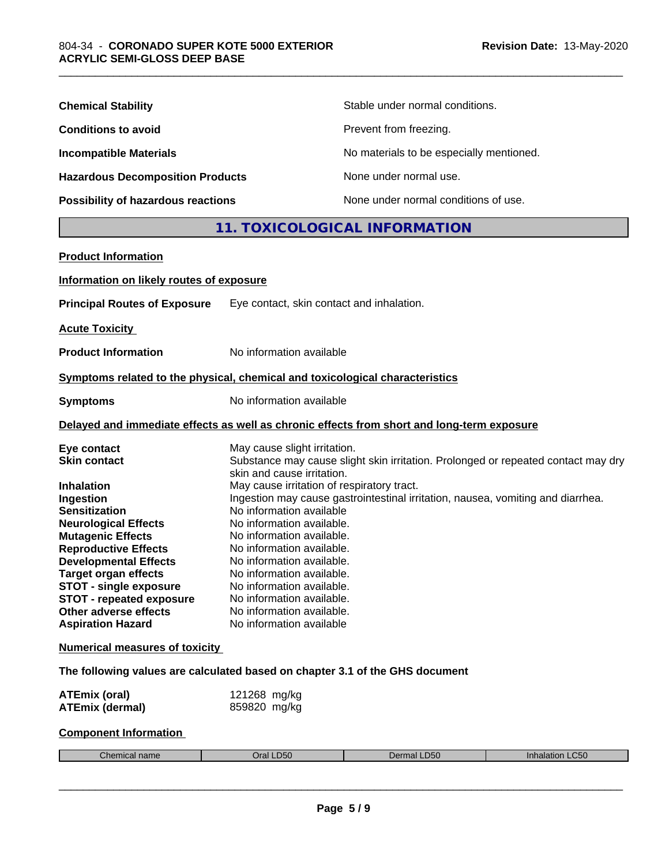| <b>Chemical Stability</b>               | Stable under normal conditions.          |
|-----------------------------------------|------------------------------------------|
| <b>Conditions to avoid</b>              | Prevent from freezing.                   |
| <b>Incompatible Materials</b>           | No materials to be especially mentioned. |
| <b>Hazardous Decomposition Products</b> | None under normal use.                   |
| Possibility of hazardous reactions      | None under normal conditions of use.     |

## **11. TOXICOLOGICAL INFORMATION**

\_\_\_\_\_\_\_\_\_\_\_\_\_\_\_\_\_\_\_\_\_\_\_\_\_\_\_\_\_\_\_\_\_\_\_\_\_\_\_\_\_\_\_\_\_\_\_\_\_\_\_\_\_\_\_\_\_\_\_\_\_\_\_\_\_\_\_\_\_\_\_\_\_\_\_\_\_\_\_\_\_\_\_\_\_\_\_\_\_\_\_\_\_

| <b>Product Information</b>                                                                                                                                                                                                                                                                                                                                                        |                                                                                                                                                                                                                                                                                                                                                                                                                               |
|-----------------------------------------------------------------------------------------------------------------------------------------------------------------------------------------------------------------------------------------------------------------------------------------------------------------------------------------------------------------------------------|-------------------------------------------------------------------------------------------------------------------------------------------------------------------------------------------------------------------------------------------------------------------------------------------------------------------------------------------------------------------------------------------------------------------------------|
| Information on likely routes of exposure                                                                                                                                                                                                                                                                                                                                          |                                                                                                                                                                                                                                                                                                                                                                                                                               |
| <b>Principal Routes of Exposure</b>                                                                                                                                                                                                                                                                                                                                               | Eye contact, skin contact and inhalation.                                                                                                                                                                                                                                                                                                                                                                                     |
| <b>Acute Toxicity</b>                                                                                                                                                                                                                                                                                                                                                             |                                                                                                                                                                                                                                                                                                                                                                                                                               |
| <b>Product Information</b>                                                                                                                                                                                                                                                                                                                                                        | No information available                                                                                                                                                                                                                                                                                                                                                                                                      |
|                                                                                                                                                                                                                                                                                                                                                                                   | Symptoms related to the physical, chemical and toxicological characteristics                                                                                                                                                                                                                                                                                                                                                  |
| <b>Symptoms</b>                                                                                                                                                                                                                                                                                                                                                                   | No information available                                                                                                                                                                                                                                                                                                                                                                                                      |
|                                                                                                                                                                                                                                                                                                                                                                                   | Delayed and immediate effects as well as chronic effects from short and long-term exposure                                                                                                                                                                                                                                                                                                                                    |
| Eye contact<br><b>Skin contact</b>                                                                                                                                                                                                                                                                                                                                                | May cause slight irritation.<br>Substance may cause slight skin irritation. Prolonged or repeated contact may dry<br>skin and cause irritation.                                                                                                                                                                                                                                                                               |
| <b>Inhalation</b><br>Ingestion<br><b>Sensitization</b><br><b>Neurological Effects</b><br><b>Mutagenic Effects</b><br><b>Reproductive Effects</b><br><b>Developmental Effects</b><br><b>Target organ effects</b><br><b>STOT - single exposure</b><br><b>STOT - repeated exposure</b><br>Other adverse effects<br><b>Aspiration Hazard</b><br><b>Numerical measures of toxicity</b> | May cause irritation of respiratory tract.<br>Ingestion may cause gastrointestinal irritation, nausea, vomiting and diarrhea.<br>No information available<br>No information available.<br>No information available.<br>No information available.<br>No information available.<br>No information available.<br>No information available.<br>No information available.<br>No information available.<br>No information available |
|                                                                                                                                                                                                                                                                                                                                                                                   | The following values are calculated based on chapter 3.1 of the GHS document                                                                                                                                                                                                                                                                                                                                                  |
| <b>ATEmix (oral)</b><br><b>ATEmix (dermal)</b>                                                                                                                                                                                                                                                                                                                                    | 121268 mg/kg<br>859820 mg/kg                                                                                                                                                                                                                                                                                                                                                                                                  |
| <b>Component Information</b>                                                                                                                                                                                                                                                                                                                                                      |                                                                                                                                                                                                                                                                                                                                                                                                                               |

|  | <b>TOM BALL</b><br>ำ⁄mical nam⊾<br>"nem | D50.<br>,,, | $P^{\sim}$<br>De<br>.D50<br>чю. | $\mathsf{L}$ C50<br>$-$<br>malar<br>. |
|--|-----------------------------------------|-------------|---------------------------------|---------------------------------------|
|--|-----------------------------------------|-------------|---------------------------------|---------------------------------------|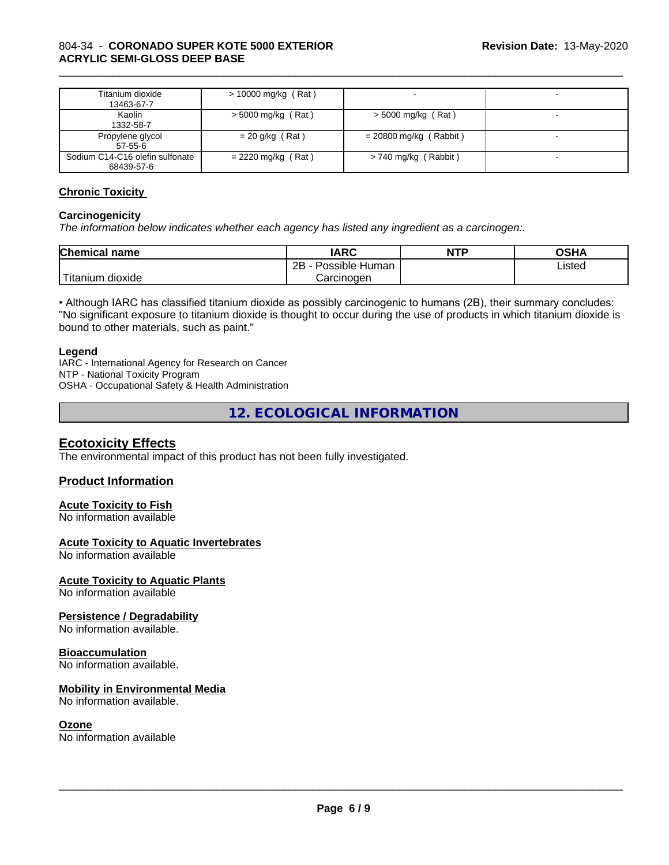#### 804-34 - **CORONADO SUPER KOTE 5000 EXTERIOR ACRYLIC SEMI-GLOSS DEEP BASE**

| Titanium dioxide<br>13463-67-7                | $> 10000$ mg/kg (Rat) |                          |  |
|-----------------------------------------------|-----------------------|--------------------------|--|
| Kaolin<br>1332-58-7                           | $>$ 5000 mg/kg (Rat)  | $>$ 5000 mg/kg (Rat)     |  |
| Propylene glycol<br>$57 - 55 - 6$             | $= 20$ g/kg (Rat)     | $= 20800$ mg/kg (Rabbit) |  |
| Sodium C14-C16 olefin sulfonate<br>68439-57-6 | $= 2220$ mg/kg (Rat)  | $> 740$ mg/kg (Rabbit)   |  |

\_\_\_\_\_\_\_\_\_\_\_\_\_\_\_\_\_\_\_\_\_\_\_\_\_\_\_\_\_\_\_\_\_\_\_\_\_\_\_\_\_\_\_\_\_\_\_\_\_\_\_\_\_\_\_\_\_\_\_\_\_\_\_\_\_\_\_\_\_\_\_\_\_\_\_\_\_\_\_\_\_\_\_\_\_\_\_\_\_\_\_\_\_

#### **Chronic Toxicity**

#### **Carcinogenicity**

*The information below indicateswhether each agency has listed any ingredient as a carcinogen:.*

| <b>Chemical name</b>               | <b>IARC</b>                    | <b>NTP</b> | <b>OSHA</b> |
|------------------------------------|--------------------------------|------------|-------------|
|                                    | .<br>2B<br>⊧ Human<br>Possible |            | Listed<br>. |
| <b>TELL</b><br>dioxide<br>Titanium | Carcinogen                     |            |             |

• Although IARC has classified titanium dioxide as possibly carcinogenic to humans (2B), their summary concludes: "No significant exposure to titanium dioxide is thought to occur during the use of products in which titanium dioxide is bound to other materials, such as paint."

#### **Legend**

IARC - International Agency for Research on Cancer NTP - National Toxicity Program OSHA - Occupational Safety & Health Administration

**12. ECOLOGICAL INFORMATION**

#### **Ecotoxicity Effects**

The environmental impact of this product has not been fully investigated.

#### **Product Information**

#### **Acute Toxicity to Fish**

No information available

#### **Acute Toxicity to Aquatic Invertebrates**

No information available

#### **Acute Toxicity to Aquatic Plants**

No information available

#### **Persistence / Degradability**

No information available.

#### **Bioaccumulation**

No information available.

#### **Mobility in Environmental Media**

No information available.

#### **Ozone**

No information available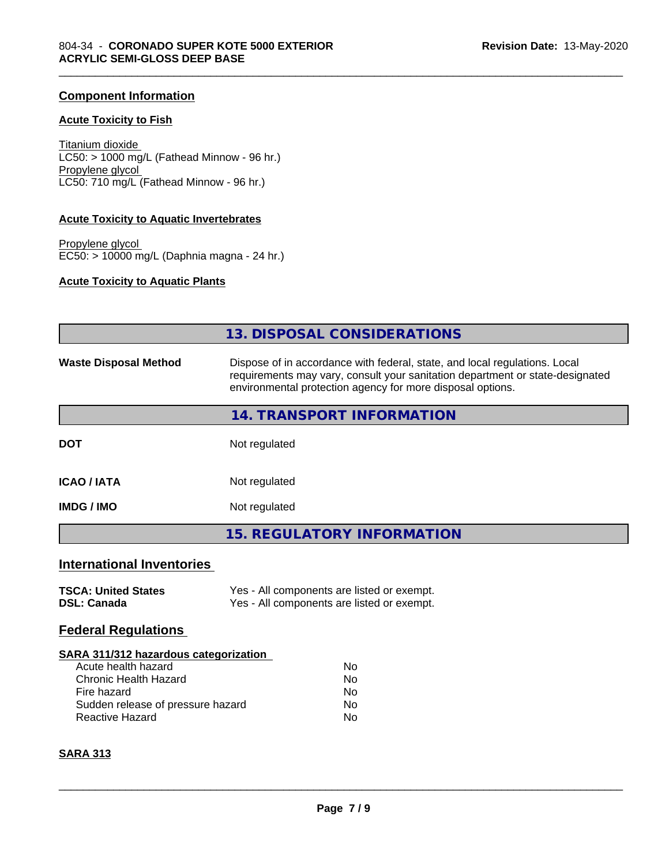#### **Component Information**

#### **Acute Toxicity to Fish**

Titanium dioxide  $LC50: > 1000$  mg/L (Fathead Minnow - 96 hr.) Propylene glycol LC50: 710 mg/L (Fathead Minnow - 96 hr.)

#### **Acute Toxicity to Aquatic Invertebrates**

Propylene glycol EC50: > 10000 mg/L (Daphnia magna - 24 hr.)

#### **Acute Toxicity to Aquatic Plants**

| <b>13. DISPOSAL CONSIDERATIONS</b><br>Dispose of in accordance with federal, state, and local regulations. Local<br>requirements may vary, consult your sanitation department or state-designated<br>environmental protection agency for more disposal options.<br>14. TRANSPORT INFORMATION<br>Not regulated<br>Not regulated<br>Not regulated<br><b>15. REGULATORY INFORMATION</b><br>Yes - All components are listed or exempt.<br>Yes - All components are listed or exempt.<br>SARA 311/312 hazardous categorization<br>Acute health hazard<br>No<br><b>Chronic Health Hazard</b><br>No<br>Fire hazard<br>No<br>Sudden release of pressure hazard<br>No<br><b>Reactive Hazard</b><br>No |                                                  |  |
|----------------------------------------------------------------------------------------------------------------------------------------------------------------------------------------------------------------------------------------------------------------------------------------------------------------------------------------------------------------------------------------------------------------------------------------------------------------------------------------------------------------------------------------------------------------------------------------------------------------------------------------------------------------------------------------------|--------------------------------------------------|--|
|                                                                                                                                                                                                                                                                                                                                                                                                                                                                                                                                                                                                                                                                                              |                                                  |  |
|                                                                                                                                                                                                                                                                                                                                                                                                                                                                                                                                                                                                                                                                                              | <b>Waste Disposal Method</b>                     |  |
|                                                                                                                                                                                                                                                                                                                                                                                                                                                                                                                                                                                                                                                                                              |                                                  |  |
|                                                                                                                                                                                                                                                                                                                                                                                                                                                                                                                                                                                                                                                                                              | <b>DOT</b>                                       |  |
|                                                                                                                                                                                                                                                                                                                                                                                                                                                                                                                                                                                                                                                                                              | <b>ICAO / IATA</b>                               |  |
|                                                                                                                                                                                                                                                                                                                                                                                                                                                                                                                                                                                                                                                                                              | <b>IMDG / IMO</b>                                |  |
|                                                                                                                                                                                                                                                                                                                                                                                                                                                                                                                                                                                                                                                                                              |                                                  |  |
|                                                                                                                                                                                                                                                                                                                                                                                                                                                                                                                                                                                                                                                                                              | <b>International Inventories</b>                 |  |
|                                                                                                                                                                                                                                                                                                                                                                                                                                                                                                                                                                                                                                                                                              | <b>TSCA: United States</b><br><b>DSL: Canada</b> |  |
|                                                                                                                                                                                                                                                                                                                                                                                                                                                                                                                                                                                                                                                                                              | <b>Federal Regulations</b>                       |  |
|                                                                                                                                                                                                                                                                                                                                                                                                                                                                                                                                                                                                                                                                                              |                                                  |  |
|                                                                                                                                                                                                                                                                                                                                                                                                                                                                                                                                                                                                                                                                                              | <b>SARA 313</b>                                  |  |

\_\_\_\_\_\_\_\_\_\_\_\_\_\_\_\_\_\_\_\_\_\_\_\_\_\_\_\_\_\_\_\_\_\_\_\_\_\_\_\_\_\_\_\_\_\_\_\_\_\_\_\_\_\_\_\_\_\_\_\_\_\_\_\_\_\_\_\_\_\_\_\_\_\_\_\_\_\_\_\_\_\_\_\_\_\_\_\_\_\_\_\_\_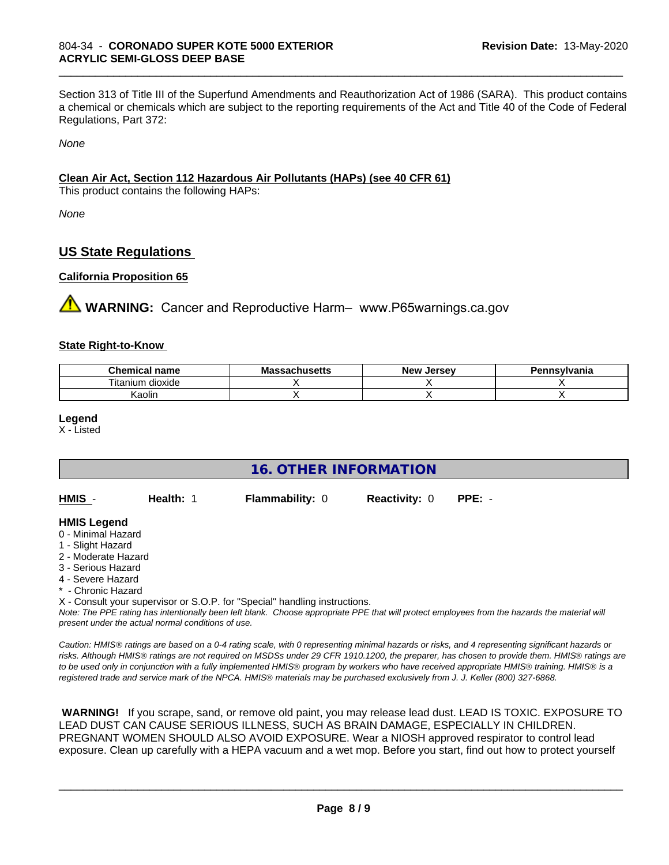Section 313 of Title III of the Superfund Amendments and Reauthorization Act of 1986 (SARA). This product contains a chemical or chemicals which are subject to the reporting requirements of the Act and Title 40 of the Code of Federal Regulations, Part 372:

\_\_\_\_\_\_\_\_\_\_\_\_\_\_\_\_\_\_\_\_\_\_\_\_\_\_\_\_\_\_\_\_\_\_\_\_\_\_\_\_\_\_\_\_\_\_\_\_\_\_\_\_\_\_\_\_\_\_\_\_\_\_\_\_\_\_\_\_\_\_\_\_\_\_\_\_\_\_\_\_\_\_\_\_\_\_\_\_\_\_\_\_\_

*None*

#### **Clean Air Act,Section 112 Hazardous Air Pollutants (HAPs) (see 40 CFR 61)**

This product contains the following HAPs:

*None*

#### **US State Regulations**

#### **California Proposition 65**

**AVIMARNING:** Cancer and Reproductive Harm– www.P65warnings.ca.gov

#### **State Right-to-Know**

| Chemical<br>name    | . .<br>ההמ<br>aunuscus | Jersev<br><b>Nev</b> | าnsvlvania |
|---------------------|------------------------|----------------------|------------|
| dioxide<br>⊺ıtanıum |                        |                      |            |
| Kaolin              |                        |                      |            |

**Legend**

X - Listed

| <b>16. OTHER INFORMATION</b> |                                                    |                                                                            |                      |                                                                                                                                                 |
|------------------------------|----------------------------------------------------|----------------------------------------------------------------------------|----------------------|-------------------------------------------------------------------------------------------------------------------------------------------------|
| HMIS -                       | Health: 1                                          | Flammability: 0                                                            | <b>Reactivity: 0</b> | $PPE: -$                                                                                                                                        |
| <b>HMIS Legend</b>           |                                                    |                                                                            |                      |                                                                                                                                                 |
| 0 - Minimal Hazard           |                                                    |                                                                            |                      |                                                                                                                                                 |
| 1 - Slight Hazard            |                                                    |                                                                            |                      |                                                                                                                                                 |
| 2 - Moderate Hazard          |                                                    |                                                                            |                      |                                                                                                                                                 |
| 3 - Serious Hazard           |                                                    |                                                                            |                      |                                                                                                                                                 |
| 4 - Severe Hazard            |                                                    |                                                                            |                      |                                                                                                                                                 |
| * - Chronic Hazard           |                                                    |                                                                            |                      |                                                                                                                                                 |
|                              |                                                    | X - Consult your supervisor or S.O.P. for "Special" handling instructions. |                      |                                                                                                                                                 |
|                              | present under the actual normal conditions of use. |                                                                            |                      | Note: The PPE rating has intentionally been left blank. Choose appropriate PPE that will protect employees from the hazards the material will   |
|                              |                                                    |                                                                            |                      | Caution: HMIS® ratings are based on a 0-4 rating scale, with 0 representing minimal hazards or risks, and 4 representing significant hazards or |

*risks. Although HMISÒ ratings are not required on MSDSs under 29 CFR 1910.1200, the preparer, has chosen to provide them. HMISÒ ratings are to be used only in conjunction with a fully implemented HMISÒ program by workers who have received appropriate HMISÒ training. HMISÒ is a registered trade and service mark of the NPCA. HMISÒ materials may be purchased exclusively from J. J. Keller (800) 327-6868.*

 **WARNING!** If you scrape, sand, or remove old paint, you may release lead dust. LEAD IS TOXIC. EXPOSURE TO LEAD DUST CAN CAUSE SERIOUS ILLNESS, SUCH AS BRAIN DAMAGE, ESPECIALLY IN CHILDREN. PREGNANT WOMEN SHOULD ALSO AVOID EXPOSURE.Wear a NIOSH approved respirator to control lead exposure. Clean up carefully with a HEPA vacuum and a wet mop. Before you start, find out how to protect yourself